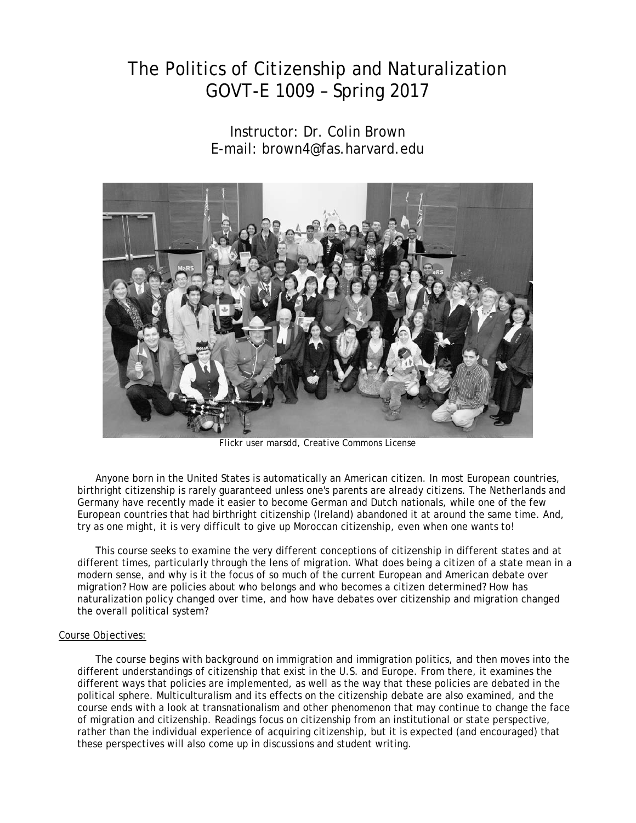# The Politics of Citizenship and Naturalization GOVT-E 1009 – Spring 2017

Instructor: Dr. Colin Brown E-mail: [brown4@fas.harvard.edu](mailto:brown4@fas.harvard.edu)



*Flickr user marsdd, Creative Commons License*

Anyone born in the United States is automatically an American citizen. In most European countries, birthright citizenship is rarely guaranteed unless one's parents are already citizens. The Netherlands and Germany have recently made it easier to become German and Dutch nationals, while one of the few European countries that had birthright citizenship (Ireland) abandoned it at around the same time. And, try as one might, it is very difficult to give up Moroccan citizenship, even when one wants to!

This course seeks to examine the very different conceptions of citizenship in different states and at different times, particularly through the lens of migration. What does being a citizen of a state mean in a modern sense, and why is it the focus of so much of the current European and American debate over migration? How are policies about who belongs and who becomes a citizen determined? How has naturalization policy changed over time, and how have debates over citizenship and migration changed the overall political system?

#### Course Objectives:

The course begins with background on immigration and immigration politics, and then moves into the different understandings of citizenship that exist in the U.S. and Europe. From there, it examines the different ways that policies are implemented, as well as the way that these policies are debated in the political sphere. Multiculturalism and its effects on the citizenship debate are also examined, and the course ends with a look at transnationalism and other phenomenon that may continue to change the face of migration and citizenship. Readings focus on citizenship from an institutional or state perspective, rather than the individual experience of acquiring citizenship, but it is expected (and encouraged) that these perspectives will also come up in discussions and student writing.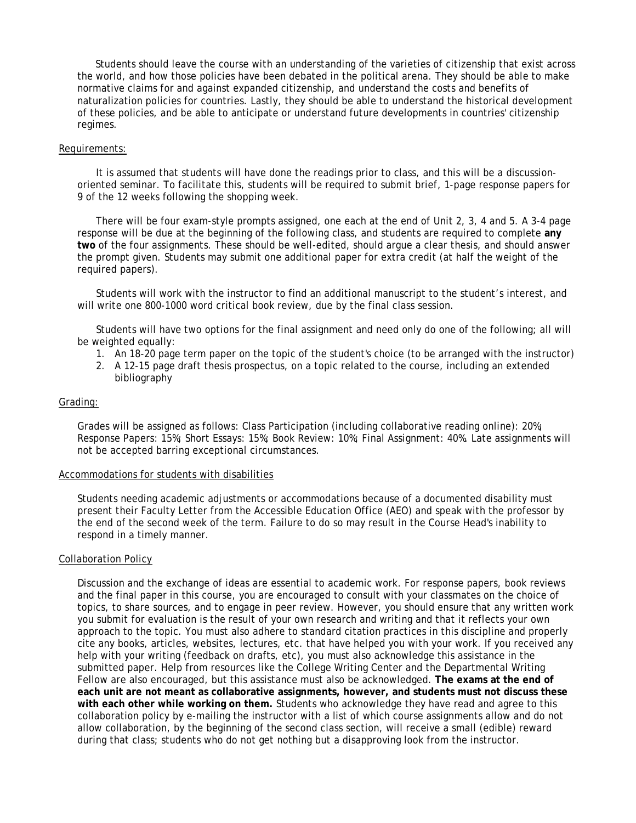Students should leave the course with an understanding of the varieties of citizenship that exist across the world, and how those policies have been debated in the political arena. They should be able to make normative claims for and against expanded citizenship, and understand the costs and benefits of naturalization policies for countries. Lastly, they should be able to understand the historical development of these policies, and be able to anticipate or understand future developments in countries' citizenship regimes.

#### Requirements:

It is assumed that students will have done the readings prior to class, and this will be a discussionoriented seminar. To facilitate this, students will be required to submit brief, 1-page response papers for 9 of the 12 weeks following the shopping week.

There will be four exam-style prompts assigned, one each at the end of Unit 2, 3, 4 and 5. A 3-4 page response will be due at the beginning of the following class, and students are required to complete **any two** of the four assignments. These should be well-edited, should argue a clear thesis, and should answer the prompt given. Students may submit one additional paper for extra credit (at half the weight of the required papers).

Students will work with the instructor to find an additional manuscript to the student's interest, and will write one 800-1000 word critical book review, due by the final class session.

Students will have two options for the final assignment and need only do one of the following; all will be weighted equally:

- 1. An 18-20 page term paper on the topic of the student's choice (to be arranged with the instructor)
- 2. A 12-15 page draft thesis prospectus, on a topic related to the course, including an extended bibliography

#### Grading:

Grades will be assigned as follows: Class Participation (including collaborative reading online): 20%; Response Papers: 15%; Short Essays: 15%; Book Review: 10%; Final Assignment: 40%. Late assignments will not be accepted barring exceptional circumstances.

#### Accommodations for students with disabilities

Students needing academic adjustments or accommodations because of a documented disability must present their Faculty Letter from the Accessible Education Office (AEO) and speak with the professor by the end of the second week of the term. Failure to do so may result in the Course Head's inability to respond in a timely manner.

#### Collaboration Policy

Discussion and the exchange of ideas are essential to academic work. For response papers, book reviews and the final paper in this course, you are encouraged to consult with your classmates on the choice of topics, to share sources, and to engage in peer review. However, you should ensure that any written work you submit for evaluation is the result of your own research and writing and that it reflects your own approach to the topic. You must also adhere to standard citation practices in this discipline and properly cite any books, articles, websites, lectures, etc. that have helped you with your work. If you received any help with your writing (feedback on drafts, etc), you must also acknowledge this assistance in the submitted paper. Help from resources like the College Writing Center and the Departmental Writing Fellow are also encouraged, but this assistance must also be acknowledged. **The exams at the end of each unit are not meant as collaborative assignments, however, and students must not discuss these with each other while working on them.** Students who acknowledge they have read and agree to this collaboration policy by e-mailing the instructor with a list of which course assignments allow and do not allow collaboration, by the beginning of the second class section, will receive a small (edible) reward during that class; students who do not get nothing but a disapproving look from the instructor.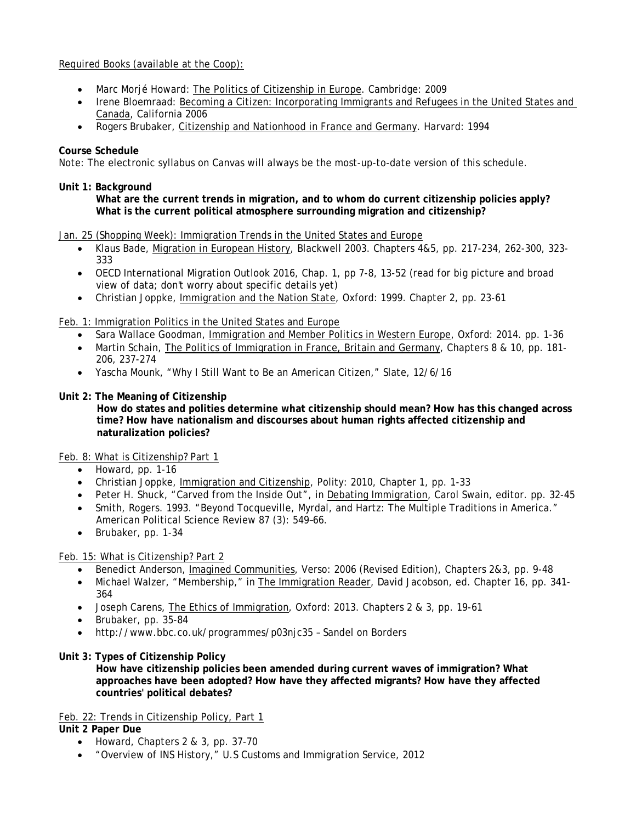# Required Books (available at the Coop):

- Marc Morjé Howard: The Politics of Citizenship in Europe. Cambridge: 2009
- Irene Bloemraad: Becoming a Citizen: Incorporating Immigrants and Refugees in the United States and Canada, California 2006
- Rogers Brubaker, Citizenship and Nationhood in France and Germany. Harvard: 1994

#### **Course Schedule**

Note: The electronic syllabus on Canvas will always be the most-up-to-date version of this schedule.

#### **Unit 1: Background**

**What are the current trends in migration, and to whom do current citizenship policies apply? What is the current political atmosphere surrounding migration and citizenship?**

#### Jan. 25 (Shopping Week): Immigration Trends in the United States and Europe

- Klaus Bade, Migration in European History, Blackwell 2003. Chapters 4&5, pp. 217-234, 262-300, 323- 333
- OECD International Migration Outlook 2016, Chap. 1, pp 7-8, 13-52 (read for big picture and broad view of data; don't worry about specific details yet)
- Christian Joppke, Immigration and the Nation State, Oxford: 1999. Chapter 2, pp. 23-61

Feb. 1: Immigration Politics in the United States and Europe

- Sara Wallace Goodman, Immigration and Member Politics in Western Europe, Oxford: 2014. pp. 1-36
- Martin Schain, The Politics of Immigration in France, Britain and Germany, Chapters 8 & 10, pp. 181-206, 237-274
- Yascha Mounk, "Why I Still Want to Be an American Citizen," Slate, 12/6/16

#### **Unit 2: The Meaning of Citizenship**

**How do states and polities determine what citizenship should mean? How has this changed across time? How have nationalism and discourses about human rights affected citizenship and naturalization policies?**

#### Feb. 8: What is Citizenship? Part 1

- Howard, pp. 1-16
- Christian Joppke, Immigration and Citizenship, Polity: 2010, Chapter 1, pp. 1-33
- Peter H. Shuck, "Carved from the Inside Out", in Debating Immigration, Carol Swain, editor. pp. 32-45
- Smith, Rogers. 1993. "Beyond Tocqueville, Myrdal, and Hartz: The Multiple Traditions in America." American Political Science Review 87 (3): 549–66.
- Brubaker, pp. 1-34

# Feb. 15: What is Citizenship? Part 2

- Benedict Anderson, Imagined Communities, Verso: 2006 (Revised Edition), Chapters 2&3, pp. 9-48
- Michael Walzer, "Membership," in The Immigration Reader, David Jacobson, ed. Chapter 16, pp. 341- 364
- Joseph Carens, The Ethics of Immigration, Oxford: 2013. Chapters 2 & 3, pp. 19-61
- Brubaker, pp. 35-84
- <http://www.bbc.co.uk/programmes/p03njc35> Sandel on Borders

# **Unit 3: Types of Citizenship Policy**

**How have citizenship policies been amended during current waves of immigration? What approaches have been adopted? How have they affected migrants? How have they affected countries' political debates?**

Feb. 22: Trends in Citizenship Policy, Part 1

**Unit 2 Paper Due**

- Howard, Chapters 2 & 3, pp. 37-70
- "Overview of INS History," U.S Customs and Immigration Service, 2012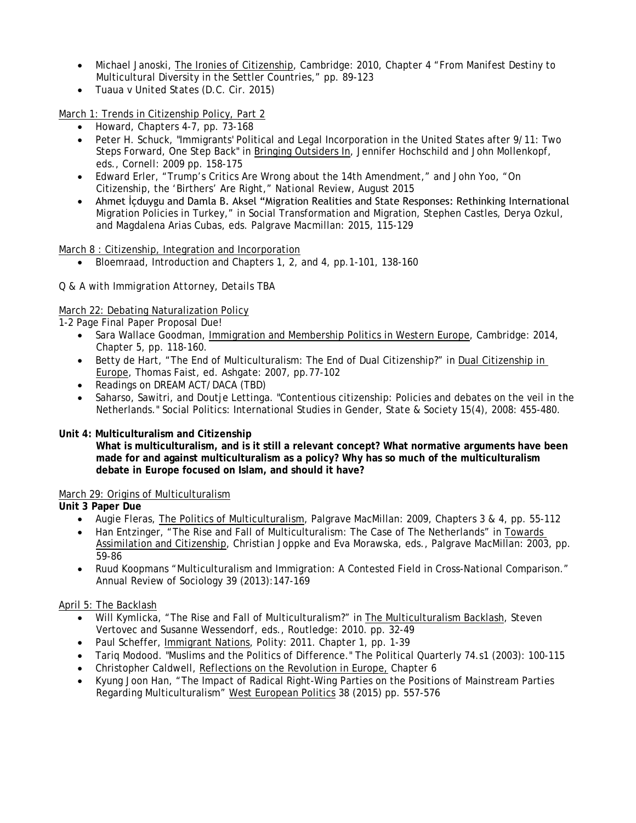- Michael Janoski, The Ironies of Citizenship, Cambridge: 2010, Chapter 4 "From Manifest Destiny to Multicultural Diversity in the Settler Countries," pp. 89-123
- *Tuaua v United States* (D.C. Cir. 2015)

March 1: Trends in Citizenship Policy, Part 2

- Howard, Chapters 4-7, pp. 73-168
- Peter H. Schuck, "Immigrants' Political and Legal Incorporation in the United States after 9/11: Two Steps Forward, One Step Back" in Bringing Outsiders In, Jennifer Hochschild and John Mollenkopf, eds., Cornell: 2009 pp. 158-175
- Edward Erler, "Trump's Critics Are Wrong about the 14th Amendment," and John Yoo, "On Citizenship, the 'Birthers' Are Right," *National Review*, August 2015
- Ahmet İçduygu and Damla B. Aksel "Migration Realities and State Responses: Rethinking International Migration Policies in Turkey," in Social Transformation and Migration, Stephen Castles, Derya Ozkul, and Magdalena Arias Cubas, eds. Palgrave Macmillan: 2015, 115-129

March 8 : Citizenship, Integration and Incorporation

• Bloemraad, Introduction and Chapters 1, 2, and 4, pp.1-101, 138-160

# *Q & A with Immigration Attorney, Details TBA*

# March 22: Debating Naturalization Policy

*1-2 Page Final Paper Proposal Due!*

- Sara Wallace Goodman, Immigration and Membership Politics in Western Europe, Cambridge: 2014, Chapter 5, pp. 118-160.
- Betty de Hart, "The End of Multiculturalism: The End of Dual Citizenship?" in Dual Citizenship in Europe, Thomas Faist, ed. Ashgate: 2007, pp.77-102
- Readings on DREAM ACT/DACA (TBD)
- Saharso, Sawitri, and Doutje Lettinga. "Contentious citizenship: Policies and debates on the veil in the Netherlands." Social Politics: International Studies in Gender, State & Society 15(4), 2008: 455-480.

# **Unit 4: Multiculturalism and Citizenship**

**What is multiculturalism, and is it still a relevant concept? What normative arguments have been made for and against multiculturalism as a policy? Why has so much of the multiculturalism debate in Europe focused on Islam, and should it have?**

# March 29: Origins of Multiculturalism

**Unit 3 Paper Due**

- Augie Fleras, The Politics of Multiculturalism, Palgrave MacMillan: 2009, Chapters 3 & 4, pp. 55-112
- Han Entzinger, "The Rise and Fall of Multiculturalism: The Case of The Netherlands" in Towards Assimilation and Citizenship, Christian Joppke and Eva Morawska, eds., Palgrave MacMillan: 2003, pp. 59-86
- Ruud Koopmans "Multiculturalism and Immigration: A Contested Field in Cross-National Comparison." Annual Review of Sociology 39 (2013):147-169

# April 5: The Backlash

- Will Kymlicka, "The Rise and Fall of Multiculturalism?" in The Multiculturalism Backlash, Steven Vertovec and Susanne Wessendorf, eds., Routledge: 2010. pp. 32-49
- Paul Scheffer, Immigrant Nations, Polity: 2011. Chapter 1, pp. 1-39
- Tariq Modood. "Muslims and the Politics of Difference." The Political Quarterly 74.s1 (2003): 100-115
- Christopher Caldwell, Reflections on the Revolution in Europe, Chapter 6
- Kyung Joon Han, "The Impact of Radical Right-Wing Parties on the Positions of Mainstream Parties Regarding Multiculturalism" West European Politics 38 (2015) pp. 557-576